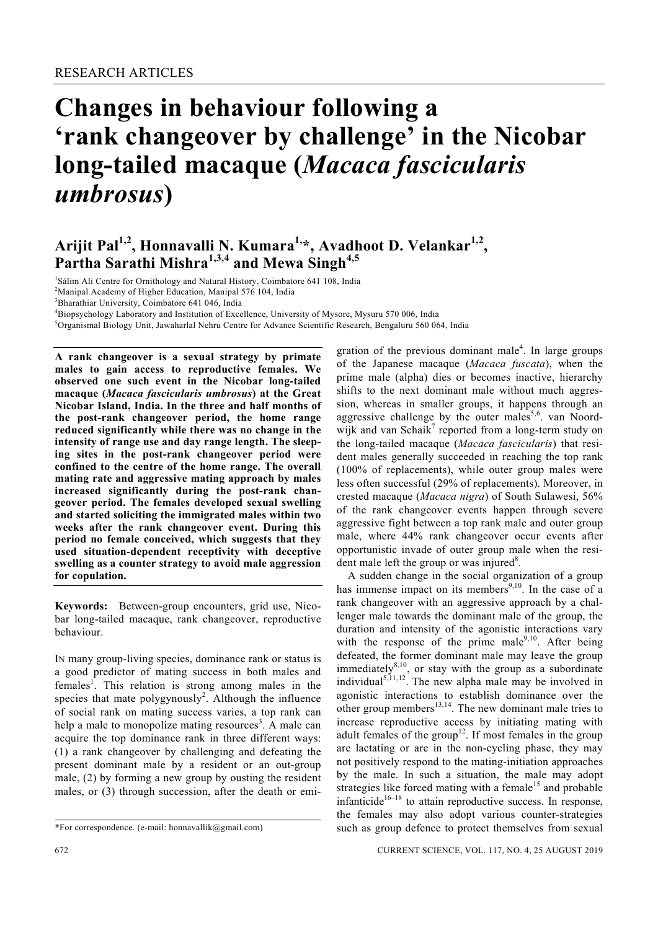# **Changes in behaviour following a 'rank changeover by challenge' in the Nicobar long-tailed macaque (***Macaca fascicularis umbrosus***)**

# Arijit Pal<sup>1,2</sup>, Honnavalli N. Kumara<sup>1,</sup>\*, Avadhoot D. Velankar<sup>1,2</sup>, **Partha Sarathi Mishra1,3,4 and Mewa Singh4,5**

<sup>1</sup>Sálim Ali Centre for Ornithology and Natural History, Coimbatore 641 108, India<br><sup>2</sup>Manipal Asadamy of Higher Education, Manipal 576 104, India

 $^{2}$ Manipal Academy of Higher Education, Manipal 576 104, India

3 Bharathiar University, Coimbatore 641 046, India

<sup>4</sup>Biopsychology Laboratory and Institution of Excellence, University of Mysore, Mysuru 570 006, India <sup>5</sup>Organismal Piology Unit, Jaugharla Nobru Contra for Advance Scientific Peoporal Pengaluru 560.06

 $\delta$ Organismal Biology Unit, Jawaharlal Nehru Centre for Advance Scientific Research, Bengaluru 560 064, India

**A rank changeover is a sexual strategy by primate males to gain access to reproductive females. We observed one such event in the Nicobar long-tailed macaque (***Macaca fascicularis umbrosus***) at the Great Nicobar Island, India. In the three and half months of the post-rank changeover period, the home range reduced significantly while there was no change in the intensity of range use and day range length. The sleeping sites in the post-rank changeover period were confined to the centre of the home range. The overall mating rate and aggressive mating approach by males increased significantly during the post-rank changeover period. The females developed sexual swelling and started soliciting the immigrated males within two weeks after the rank changeover event. During this period no female conceived, which suggests that they used situation-dependent receptivity with deceptive swelling as a counter strategy to avoid male aggression for copulation.** 

**Keywords:** Between-group encounters, grid use, Nicobar long-tailed macaque, rank changeover, reproductive behaviour.

IN many group-living species, dominance rank or status is a good predictor of mating success in both males and females<sup>1</sup>. This relation is strong among males in the species that mate polygynously<sup>2</sup>. Although the influence of social rank on mating success varies, a top rank can help a male to monopolize mating resources<sup>3</sup>. A male can acquire the top dominance rank in three different ways: (1) a rank changeover by challenging and defeating the present dominant male by a resident or an out-group male, (2) by forming a new group by ousting the resident males, or (3) through succession, after the death or emi-

gration of the previous dominant male<sup>4</sup>. In large groups of the Japanese macaque (*Macaca fuscata*), when the prime male (alpha) dies or becomes inactive, hierarchy shifts to the next dominant male without much aggression, whereas in smaller groups, it happens through an aggressive challenge by the outer males<sup>5,6</sup>. van Noordwijk and van Schaik<sup>7</sup> reported from a long-term study on the long-tailed macaque (*Macaca fascicularis*) that resident males generally succeeded in reaching the top rank (100% of replacements), while outer group males were less often successful (29% of replacements). Moreover, in crested macaque (*Macaca nigra*) of South Sulawesi, 56% of the rank changeover events happen through severe aggressive fight between a top rank male and outer group male, where 44% rank changeover occur events after opportunistic invade of outer group male when the resident male left the group or was injured $8$ .

 A sudden change in the social organization of a group has immense impact on its members<sup>9,10</sup>. In the case of a rank changeover with an aggressive approach by a challenger male towards the dominant male of the group, the duration and intensity of the agonistic interactions vary with the response of the prime male<sup>9,10</sup>. After being defeated, the former dominant male may leave the group immediately $8,10$ , or stay with the group as a subordinate individual<sup>5,11,12</sup>. The new alpha male may be involved in agonistic interactions to establish dominance over the other group members<sup>13,14</sup>. The new dominant male tries to increase reproductive access by initiating mating with adult females of the group<sup>12</sup>. If most females in the group are lactating or are in the non-cycling phase, they may not positively respond to the mating-initiation approaches by the male. In such a situation, the male may adopt strategies like forced mating with a female<sup>15</sup> and probable infanticide<sup>16–18</sup> to attain reproductive success. In response, the females may also adopt various counter-strategies such as group defence to protect themselves from sexual

<sup>\*</sup>For correspondence. (e-mail: honnavallik@gmail.com)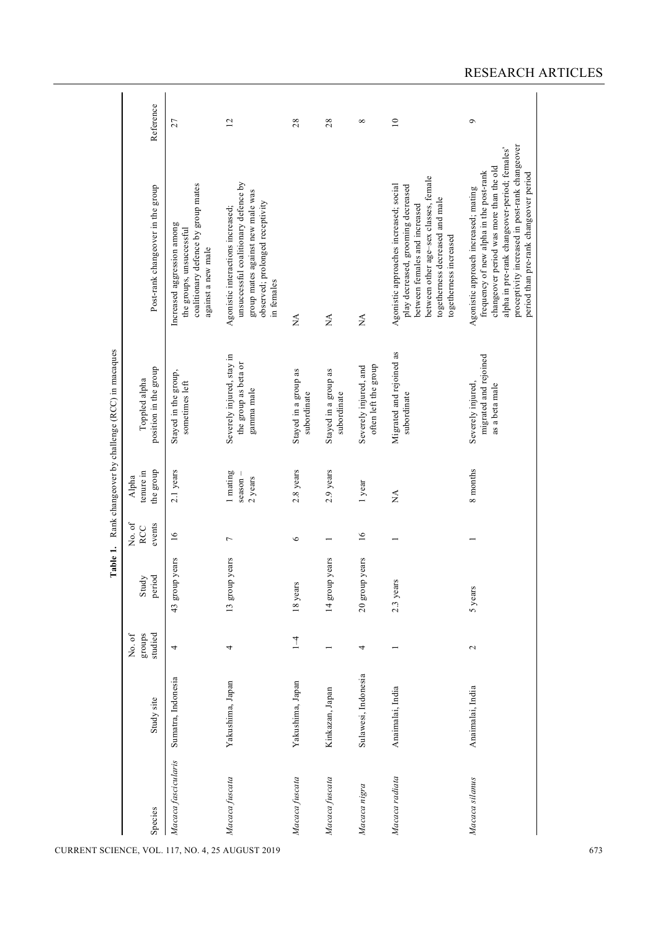|                                                         | Reference                              | 27                                                                                                                  | $\overline{c}$                                                                                                                                                 | 28                                  | 28                                  | ${}^{\infty}$                                 | $\supseteq$                                                                                                                                                                                                         | $\sigma$                                                                                                                                                                                                                                                                |
|---------------------------------------------------------|----------------------------------------|---------------------------------------------------------------------------------------------------------------------|----------------------------------------------------------------------------------------------------------------------------------------------------------------|-------------------------------------|-------------------------------------|-----------------------------------------------|---------------------------------------------------------------------------------------------------------------------------------------------------------------------------------------------------------------------|-------------------------------------------------------------------------------------------------------------------------------------------------------------------------------------------------------------------------------------------------------------------------|
|                                                         | Post-rank changeover in the group      | coalitionary defence by group mates<br>Increased aggression among<br>the groups, unsuccessful<br>against a new male | unsuccessful coalitionary defence by<br>group mates against new male was<br>observed; prolonged receptivity<br>Agonistic interactions increased;<br>in females | $\stackrel{\blacktriangle}{\geq}$   | $\stackrel{\triangle}{\simeq}$      | $\stackrel{\triangle}{\simeq}$                | between other age-sex classes, female<br>Agonistic approaches increased; social<br>play decreased, grooming decreased<br>togetherness decreased and male<br>between females and increased<br>togetherness increased | proceptivity increased in post-rank changeover<br>alpha in pre-rank changeover-period; females'<br>changeover period was more than the old<br>frequency of new alpha in the post-rank<br>period than pre-rank changeover period<br>Agonistic approach increased; mating |
| Table 1. Rank changeover by challenge (RCC) in macaques | position in the group<br>Toppled alpha | Stayed in the group,<br>sometimes left                                                                              | Severely injured, stay in<br>the group as beta or<br>gamma male                                                                                                | Stayed in a group as<br>subordinate | Stayed in a group as<br>subordinate | often left the group<br>Severely injured, and | Migrated and rejoined as<br>subordinate                                                                                                                                                                             | migrated and rejoined<br>Severely injured,<br>as a beta male                                                                                                                                                                                                            |
|                                                         | the group<br>tenure in<br>Alpha        | 2.1 years                                                                                                           | 1 mating<br>season-<br>2 years                                                                                                                                 | $2.8$ years                         | 2.9 years                           | 1 year                                        | $\stackrel{\blacktriangle}{\geq}$                                                                                                                                                                                   | 8 months                                                                                                                                                                                                                                                                |
|                                                         | No. of<br>events<br>RCC                | 16                                                                                                                  | $\overline{ }$                                                                                                                                                 | $\circ$                             |                                     | $\overline{16}$                               |                                                                                                                                                                                                                     |                                                                                                                                                                                                                                                                         |
|                                                         | period<br>Study                        | 43 group years                                                                                                      | 13 group years                                                                                                                                                 | 18 years                            | 14 group years                      | 20 group years                                | 2.3 years                                                                                                                                                                                                           | 5 years                                                                                                                                                                                                                                                                 |
|                                                         | studied<br>groups<br>No. of            | 4                                                                                                                   | 4                                                                                                                                                              | $\overline{1}$                      |                                     | 4                                             |                                                                                                                                                                                                                     | $\sim$                                                                                                                                                                                                                                                                  |
|                                                         | Study site                             | Sumatra, Indonesia                                                                                                  | Yakushima, Japan                                                                                                                                               | Yakushima, Japan                    | Kinkazan, Japan                     | Sulawesi, Indonesia                           | Anaimalai, India                                                                                                                                                                                                    | Anaimalai, India                                                                                                                                                                                                                                                        |
|                                                         | Species                                | Macaca fascicularis                                                                                                 | Macaca fuscata                                                                                                                                                 | Macaca fuscata                      | Macaca fuscata                      | Macaca nigra                                  | Macaca radiata                                                                                                                                                                                                      | Macaca silanus                                                                                                                                                                                                                                                          |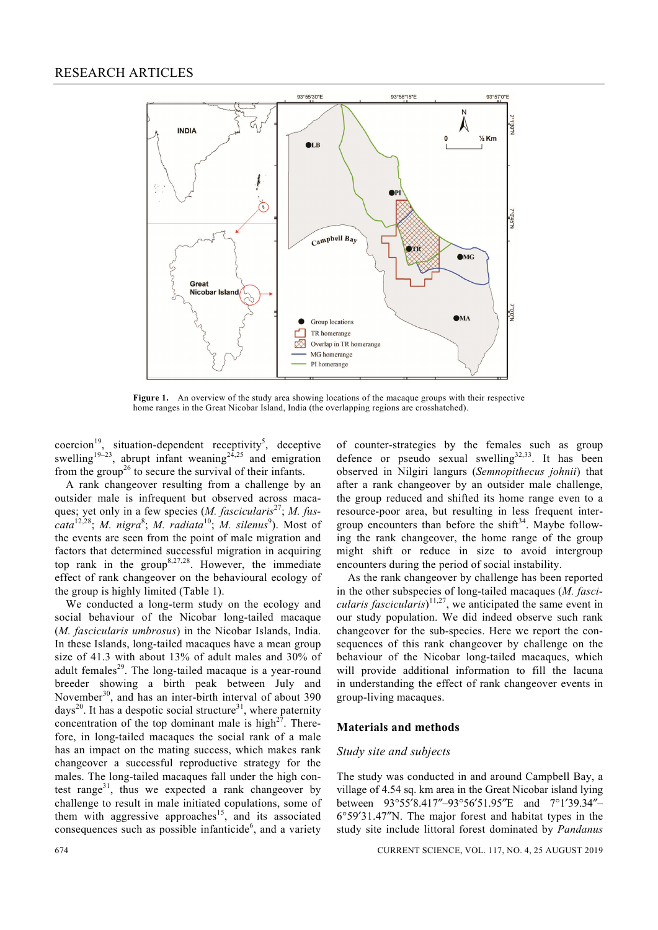

**Figure 1.** An overview of the study area showing locations of the macaque groups with their respective home ranges in the Great Nicobar Island, India (the overlapping regions are crosshatched).

coercion<sup>19</sup>, situation-dependent receptivity<sup>5</sup>, deceptive swelling<sup>19–23</sup>, abrupt infant weaning<sup>24,25</sup> and emigration from the group<sup>26</sup> to secure the survival of their infants.

 A rank changeover resulting from a challenge by an outsider male is infrequent but observed across macaques; yet only in a few species (*M. fascicularis*<sup>27</sup>; *M. fus*cata<sup>12,28</sup>; *M. nigra<sup>8</sup>*; *M. radiata*<sup>10</sup>; *M. silenus*<sup>9</sup>). Most of the events are seen from the point of male migration and factors that determined successful migration in acquiring top rank in the group<sup>8,27,28</sup>. However, the immediate effect of rank changeover on the behavioural ecology of the group is highly limited (Table 1).

 We conducted a long-term study on the ecology and social behaviour of the Nicobar long-tailed macaque (*M. fascicularis umbrosus*) in the Nicobar Islands, India. In these Islands, long-tailed macaques have a mean group size of 41.3 with about 13% of adult males and 30% of adult females<sup>29</sup>. The long-tailed macaque is a year-round breeder showing a birth peak between July and November<sup>30</sup>, and has an inter-birth interval of about 390 days<sup>20</sup>. It has a despotic social structure<sup>31</sup>, where paternity concentration of the top dominant male is high $2^7$ . Therefore, in long-tailed macaques the social rank of a male has an impact on the mating success, which makes rank changeover a successful reproductive strategy for the males. The long-tailed macaques fall under the high contest range<sup>31</sup>, thus we expected a rank changeover by challenge to result in male initiated copulations, some of them with aggressive approaches<sup>15</sup>, and its associated consequences such as possible infanticide $<sup>6</sup>$ , and a variety</sup> of counter-strategies by the females such as group defence or pseudo sexual swelling $32,33$ . It has been observed in Nilgiri langurs (*Semnopithecus johnii*) that after a rank changeover by an outsider male challenge, the group reduced and shifted its home range even to a resource-poor area, but resulting in less frequent intergroup encounters than before the shift<sup>34</sup>. Maybe following the rank changeover, the home range of the group might shift or reduce in size to avoid intergroup encounters during the period of social instability.

 As the rank changeover by challenge has been reported in the other subspecies of long-tailed macaques (*M. fascicularis fascicularis*)<sup>11,27</sup>, we anticipated the same event in our study population. We did indeed observe such rank changeover for the sub-species. Here we report the consequences of this rank changeover by challenge on the behaviour of the Nicobar long-tailed macaques, which will provide additional information to fill the lacuna in understanding the effect of rank changeover events in group-living macaques.

# **Materials and methods**

#### *Study site and subjects*

The study was conducted in and around Campbell Bay, a village of 4.54 sq. km area in the Great Nicobar island lying between 93°55′8.417″–93°56′51.95″E and 7°1′39.34″– 6°59′31.47″N. The major forest and habitat types in the study site include littoral forest dominated by *Pandanus*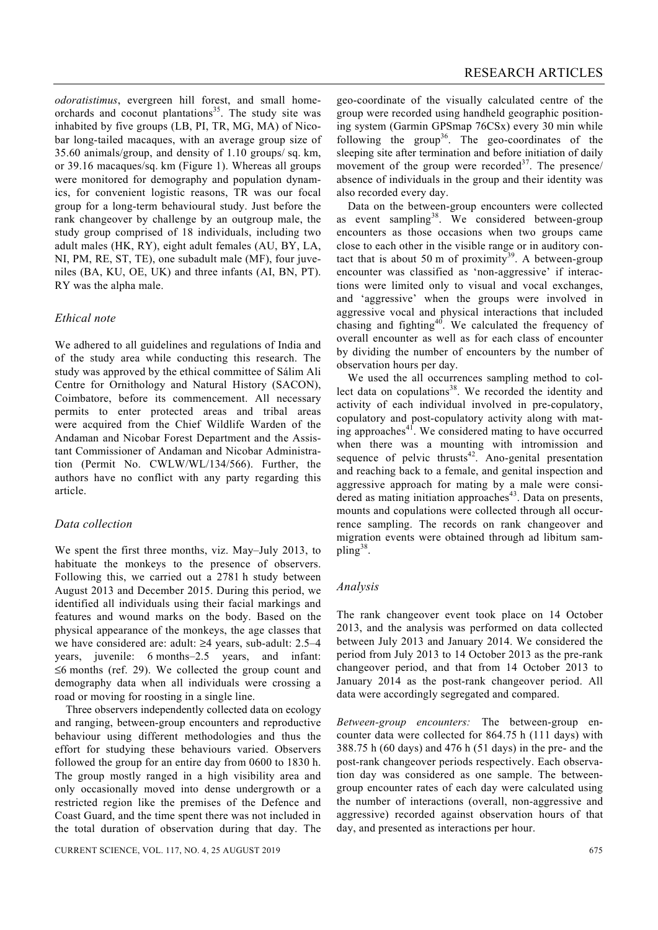*odoratistimus*, evergreen hill forest, and small homeorchards and coconut plantations<sup>35</sup>. The study site was inhabited by five groups (LB, PI, TR, MG, MA) of Nicobar long-tailed macaques, with an average group size of 35.60 animals/group, and density of 1.10 groups/ sq. km, or 39.16 macaques/sq. km (Figure 1). Whereas all groups were monitored for demography and population dynamics, for convenient logistic reasons, TR was our focal group for a long-term behavioural study. Just before the rank changeover by challenge by an outgroup male, the study group comprised of 18 individuals, including two adult males (HK, RY), eight adult females (AU, BY, LA, NI, PM, RE, ST, TE), one subadult male (MF), four juveniles (BA, KU, OE, UK) and three infants (AI, BN, PT). RY was the alpha male.

# *Ethical note*

We adhered to all guidelines and regulations of India and of the study area while conducting this research. The study was approved by the ethical committee of Sálim Ali Centre for Ornithology and Natural History (SACON), Coimbatore, before its commencement. All necessary permits to enter protected areas and tribal areas were acquired from the Chief Wildlife Warden of the Andaman and Nicobar Forest Department and the Assistant Commissioner of Andaman and Nicobar Administration (Permit No. CWLW/WL/134/566). Further, the authors have no conflict with any party regarding this article.

# *Data collection*

We spent the first three months, viz. May–July 2013, to habituate the monkeys to the presence of observers. Following this, we carried out a 2781 h study between August 2013 and December 2015. During this period, we identified all individuals using their facial markings and features and wound marks on the body. Based on the physical appearance of the monkeys, the age classes that we have considered are: adult: ≥4 years, sub-adult: 2.5–4 years, juvenile: 6 months–2.5 years, and infant: ≤6 months (ref. 29). We collected the group count and demography data when all individuals were crossing a road or moving for roosting in a single line.

 Three observers independently collected data on ecology and ranging, between-group encounters and reproductive behaviour using different methodologies and thus the effort for studying these behaviours varied. Observers followed the group for an entire day from 0600 to 1830 h. The group mostly ranged in a high visibility area and only occasionally moved into dense undergrowth or a restricted region like the premises of the Defence and Coast Guard, and the time spent there was not included in the total duration of observation during that day. The geo-coordinate of the visually calculated centre of the group were recorded using handheld geographic positioning system (Garmin GPSmap 76CSx) every 30 min while following the group<sup>36</sup>. The geo-coordinates of the sleeping site after termination and before initiation of daily movement of the group were recorded $3^7$ . The presence/ absence of individuals in the group and their identity was also recorded every day.

 Data on the between-group encounters were collected as event sampling<sup>38</sup>. We considered between-group encounters as those occasions when two groups came close to each other in the visible range or in auditory contact that is about 50 m of proximity<sup>39</sup>. A between-group encounter was classified as 'non-aggressive' if interactions were limited only to visual and vocal exchanges, and 'aggressive' when the groups were involved in aggressive vocal and physical interactions that included chasing and fighting<sup>40</sup>. We calculated the frequency of overall encounter as well as for each class of encounter by dividing the number of encounters by the number of observation hours per day.

 We used the all occurrences sampling method to collect data on copulations $38$ . We recorded the identity and activity of each individual involved in pre-copulatory, copulatory and post-copulatory activity along with mating approaches $4<sup>1</sup>$ . We considered mating to have occurred when there was a mounting with intromission and sequence of pelvic thrusts $42$ . Ano-genital presentation and reaching back to a female, and genital inspection and aggressive approach for mating by a male were considered as mating initiation approaches $43$ . Data on presents, mounts and copulations were collected through all occurrence sampling. The records on rank changeover and migration events were obtained through ad libitum sampling<sup>38</sup>.

# *Analysis*

The rank changeover event took place on 14 October 2013, and the analysis was performed on data collected between July 2013 and January 2014. We considered the period from July 2013 to 14 October 2013 as the pre-rank changeover period, and that from 14 October 2013 to January 2014 as the post-rank changeover period. All data were accordingly segregated and compared.

*Between-group encounters:* The between-group encounter data were collected for 864.75 h (111 days) with 388.75 h (60 days) and 476 h (51 days) in the pre- and the post-rank changeover periods respectively. Each observation day was considered as one sample. The betweengroup encounter rates of each day were calculated using the number of interactions (overall, non-aggressive and aggressive) recorded against observation hours of that day, and presented as interactions per hour.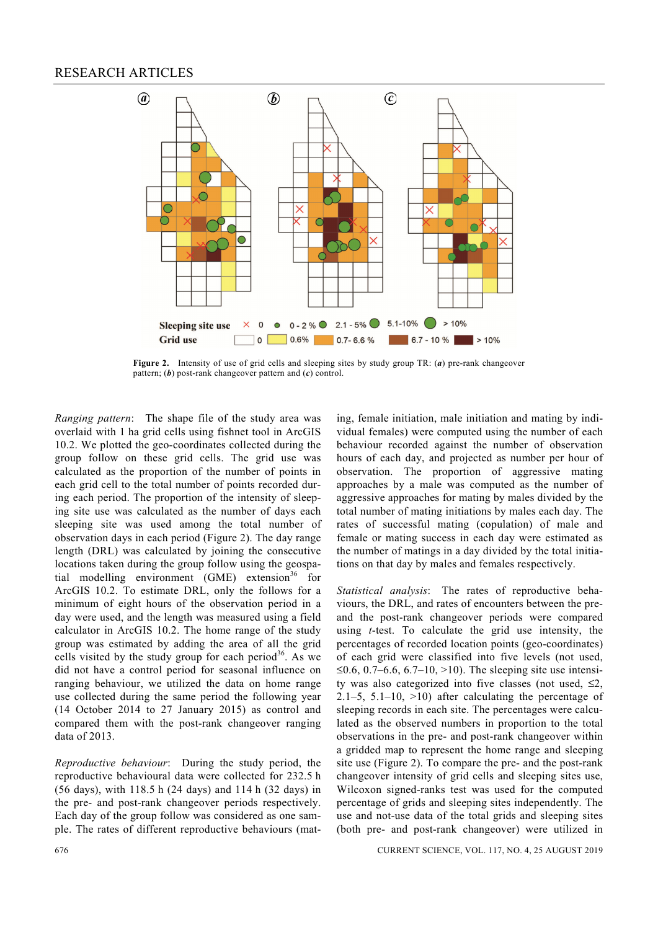

**Figure 2.** Intensity of use of grid cells and sleeping sites by study group TR: (*a*) pre-rank changeover pattern; (*b*) post-rank changeover pattern and (*c*) control.

*Ranging pattern*: The shape file of the study area was overlaid with 1 ha grid cells using fishnet tool in ArcGIS 10.2. We plotted the geo-coordinates collected during the group follow on these grid cells. The grid use was calculated as the proportion of the number of points in each grid cell to the total number of points recorded during each period. The proportion of the intensity of sleeping site use was calculated as the number of days each sleeping site was used among the total number of observation days in each period (Figure 2). The day range length (DRL) was calculated by joining the consecutive locations taken during the group follow using the geospatial modelling environment  $(GME)$  extension<sup>36</sup> for ArcGIS 10.2. To estimate DRL, only the follows for a minimum of eight hours of the observation period in a day were used, and the length was measured using a field calculator in ArcGIS 10.2. The home range of the study group was estimated by adding the area of all the grid cells visited by the study group for each period<sup>36</sup>. As we did not have a control period for seasonal influence on ranging behaviour, we utilized the data on home range use collected during the same period the following year (14 October 2014 to 27 January 2015) as control and compared them with the post-rank changeover ranging data of 2013.

*Reproductive behaviour*: During the study period, the reproductive behavioural data were collected for 232.5 h (56 days), with 118.5 h (24 days) and 114 h (32 days) in the pre- and post-rank changeover periods respectively. Each day of the group follow was considered as one sample. The rates of different reproductive behaviours (mating, female initiation, male initiation and mating by individual females) were computed using the number of each behaviour recorded against the number of observation hours of each day, and projected as number per hour of observation. The proportion of aggressive mating approaches by a male was computed as the number of aggressive approaches for mating by males divided by the total number of mating initiations by males each day. The rates of successful mating (copulation) of male and female or mating success in each day were estimated as the number of matings in a day divided by the total initiations on that day by males and females respectively.

*Statistical analysis*: The rates of reproductive behaviours, the DRL, and rates of encounters between the preand the post-rank changeover periods were compared using *t*-test. To calculate the grid use intensity, the percentages of recorded location points (geo-coordinates) of each grid were classified into five levels (not used, ≤0.6, 0.7–6.6, 6.7–10, >10). The sleeping site use intensity was also categorized into five classes (not used,  $\leq 2$ , 2.1–5, 5.1–10,  $>10$ ) after calculating the percentage of sleeping records in each site. The percentages were calculated as the observed numbers in proportion to the total observations in the pre- and post-rank changeover within a gridded map to represent the home range and sleeping site use (Figure 2). To compare the pre- and the post-rank changeover intensity of grid cells and sleeping sites use, Wilcoxon signed-ranks test was used for the computed percentage of grids and sleeping sites independently. The use and not-use data of the total grids and sleeping sites (both pre- and post-rank changeover) were utilized in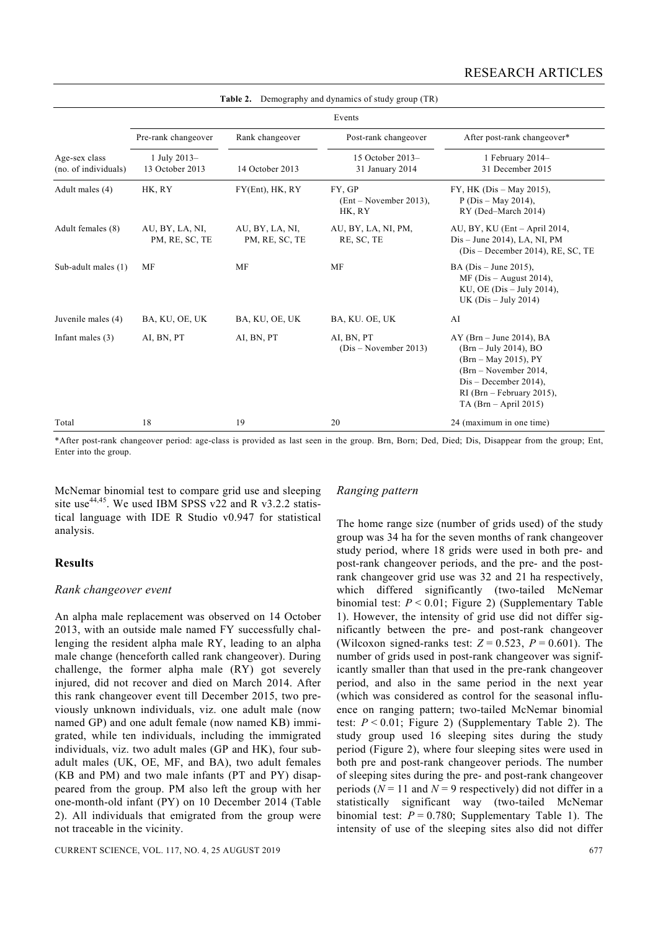| <b>Table 2.</b> Demography and dynamics of study group (TR) |                                   |                                   |                                               |                                                                                                                                                                                               |  |  |  |  |
|-------------------------------------------------------------|-----------------------------------|-----------------------------------|-----------------------------------------------|-----------------------------------------------------------------------------------------------------------------------------------------------------------------------------------------------|--|--|--|--|
|                                                             | Events                            |                                   |                                               |                                                                                                                                                                                               |  |  |  |  |
|                                                             | Pre-rank changeover               | Rank changeover                   | Post-rank changeover                          | After post-rank changeover*<br>1 February 2014-<br>31 December 2015                                                                                                                           |  |  |  |  |
| Age-sex class<br>(no. of individuals)                       | 1 July 2013-<br>13 October 2013   | 14 October 2013                   | 15 October 2013-<br>31 January 2014           |                                                                                                                                                                                               |  |  |  |  |
| Adult males (4)                                             | HK, RY                            | $FY(Ent)$ , $HK$ , $RY$           | FY, GP<br>$(Ent - November 2013)$ ,<br>HK, RY | FY, HK (Dis - May 2015),<br>$P(Dis - May 2014)$ ,<br>RY (Ded-March 2014)                                                                                                                      |  |  |  |  |
| Adult females (8)                                           | AU, BY, LA, NI,<br>PM, RE, SC, TE | AU, BY, LA, NI,<br>PM, RE, SC, TE | AU, BY, LA, NI, PM,<br>RE, SC, TE             | AU, BY, KU (Ent - April 2014,<br>$Dis$ – June 2014), LA, NI, PM<br>$(Dis - December 2014)$ , RE, SC, TE                                                                                       |  |  |  |  |
| Sub-adult males (1)                                         | <b>MF</b>                         | <b>MF</b>                         | <b>MF</b>                                     | BA ( $Dis$ – June 2015),<br>$MF(Dis - August 2014)$ ,<br>KU, OE (Dis $-$ July 2014),<br>UK $(Dis - July 2014)$                                                                                |  |  |  |  |
| Juvenile males (4)                                          | BA, KU, OE, UK                    | BA, KU, OE, UK                    | BA, KU. OE, UK                                | AI                                                                                                                                                                                            |  |  |  |  |
| Infant males $(3)$                                          | AI, BN, PT                        | AI, BN, PT                        | AI, BN, PT<br>$(Dis - November 2013)$         | $AY$ (Brn – June 2014), BA<br>$(Brn - July 2014)$ , BO<br>(Brn - May 2015), PY<br>(Brn – November 2014,<br>$Dis - December 2014)$ ,<br>$RI$ (Brn – February 2015),<br>$TA (Brn - April 2015)$ |  |  |  |  |
| Total                                                       | 18                                | 19                                | 20                                            | 24 (maximum in one time)                                                                                                                                                                      |  |  |  |  |

**Table 2.** Demography and dynamics of study group (TR)

\*After post-rank changeover period: age-class is provided as last seen in the group. Brn, Born; Ded, Died; Dis, Disappear from the group; Ent, Enter into the group.

McNemar binomial test to compare grid use and sleeping site use<sup>44,45</sup>. We used IBM SPSS v22 and R v3.2.2 statistical language with IDE R Studio v0.947 for statistical analysis.

# **Results**

# *Rank changeover event*

An alpha male replacement was observed on 14 October 2013, with an outside male named FY successfully challenging the resident alpha male RY, leading to an alpha male change (henceforth called rank changeover). During challenge, the former alpha male (RY) got severely injured, did not recover and died on March 2014. After this rank changeover event till December 2015, two previously unknown individuals, viz. one adult male (now named GP) and one adult female (now named KB) immigrated, while ten individuals, including the immigrated individuals, viz. two adult males (GP and HK), four subadult males (UK, OE, MF, and BA), two adult females (KB and PM) and two male infants (PT and PY) disappeared from the group. PM also left the group with her one-month-old infant (PY) on 10 December 2014 (Table 2). All individuals that emigrated from the group were not traceable in the vicinity.

# *Ranging pattern*

The home range size (number of grids used) of the study group was 34 ha for the seven months of rank changeover study period, where 18 grids were used in both pre- and post-rank changeover periods, and the pre- and the postrank changeover grid use was 32 and 21 ha respectively, which differed significantly (two-tailed McNemar binomial test: *P* < 0.01; Figure 2) (Supplementary Table 1). However, the intensity of grid use did not differ significantly between the pre- and post-rank changeover (Wilcoxon signed-ranks test:  $Z = 0.523$ ,  $P = 0.601$ ). The number of grids used in post-rank changeover was significantly smaller than that used in the pre-rank changeover period, and also in the same period in the next year (which was considered as control for the seasonal influence on ranging pattern; two-tailed McNemar binomial test:  $P < 0.01$ ; Figure 2) (Supplementary Table 2). The study group used 16 sleeping sites during the study period (Figure 2), where four sleeping sites were used in both pre and post-rank changeover periods. The number of sleeping sites during the pre- and post-rank changeover periods  $(N = 11$  and  $N = 9$  respectively) did not differ in a statistically significant way (two-tailed McNemar binomial test:  $P = 0.780$ ; Supplementary Table 1). The intensity of use of the sleeping sites also did not differ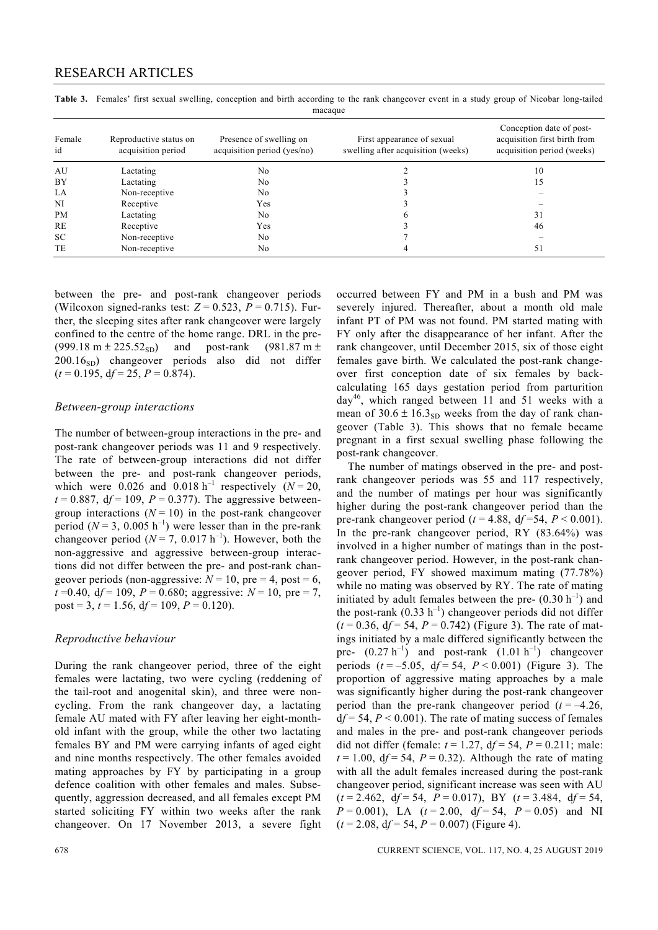| Female<br>id | Reproductive status on<br>acquisition period | Presence of swelling on<br>acquisition period (yes/no) | First appearance of sexual<br>swelling after acquisition (weeks) | Conception date of post-<br>acquisition first birth from<br>acquisition period (weeks) |
|--------------|----------------------------------------------|--------------------------------------------------------|------------------------------------------------------------------|----------------------------------------------------------------------------------------|
| AU           | Lactating                                    | No                                                     |                                                                  | 10                                                                                     |
| BY           | Lactating                                    | N <sub>0</sub>                                         |                                                                  | 15                                                                                     |
| LA           | Non-receptive                                | N <sub>0</sub>                                         |                                                                  |                                                                                        |
| NI           | Receptive                                    | Yes                                                    |                                                                  |                                                                                        |
| <b>PM</b>    | Lactating                                    | N <sub>0</sub>                                         |                                                                  | 31                                                                                     |
| RE           | Receptive                                    | Yes                                                    |                                                                  | 46                                                                                     |
| <b>SC</b>    | Non-receptive                                | No                                                     |                                                                  |                                                                                        |
| TE           | Non-receptive                                | No                                                     |                                                                  | 51                                                                                     |

Table 3. Females' first sexual swelling, conception and birth according to the rank changeover event in a study group of Nicobar long-tailed macaque macaque

between the pre- and post-rank changeover periods (Wilcoxon signed-ranks test:  $Z = 0.523$ ,  $P = 0.715$ ). Further, the sleeping sites after rank changeover were largely confined to the centre of the home range. DRL in the pre-  $(999.18 \text{ m} \pm 225.52_{\text{SD}})$  and post-rank  $(981.87 \text{ m} \pm 125.52_{\text{SD}})$  $200.16<sub>SD</sub>$  changeover periods also did not differ  $(t = 0.195, df = 25, P = 0.874)$ .

#### *Between-group interactions*

The number of between-group interactions in the pre- and post-rank changeover periods was 11 and 9 respectively. The rate of between-group interactions did not differ between the pre- and post-rank changeover periods, which were  $0.026$  and  $0.018 h^{-1}$  respectively  $(N = 20)$ ,  $t = 0.887$ ,  $df = 109$ ,  $P = 0.377$ ). The aggressive betweengroup interactions  $(N = 10)$  in the post-rank changeover period ( $N = 3$ , 0.005 h<sup>-1</sup>) were lesser than in the pre-rank changeover period  $(N = 7, 0.017 \text{ h}^{-1})$ . However, both the non-aggressive and aggressive between-group interactions did not differ between the pre- and post-rank changeover periods (non-aggressive:  $N = 10$ , pre  $= 4$ , post  $= 6$ ,  $t = 0.40$ ,  $df = 109$ ,  $P = 0.680$ ; aggressive:  $N = 10$ , pre = 7, post = 3,  $t = 1.56$ ,  $df = 109$ ,  $P = 0.120$ ).

# *Reproductive behaviour*

During the rank changeover period, three of the eight females were lactating, two were cycling (reddening of the tail-root and anogenital skin), and three were noncycling. From the rank changeover day, a lactating female AU mated with FY after leaving her eight-monthold infant with the group, while the other two lactating females BY and PM were carrying infants of aged eight and nine months respectively. The other females avoided mating approaches by FY by participating in a group defence coalition with other females and males. Subsequently, aggression decreased, and all females except PM started soliciting FY within two weeks after the rank changeover. On 17 November 2013, a severe fight occurred between FY and PM in a bush and PM was severely injured. Thereafter, about a month old male infant PT of PM was not found. PM started mating with FY only after the disappearance of her infant. After the rank changeover, until December 2015, six of those eight females gave birth. We calculated the post-rank changeover first conception date of six females by backcalculating 165 days gestation period from parturition  $day^{46}$ , which ranged between 11 and 51 weeks with a mean of  $30.6 \pm 16.3_{SD}$  weeks from the day of rank changeover (Table 3). This shows that no female became pregnant in a first sexual swelling phase following the post-rank changeover.

 The number of matings observed in the pre- and postrank changeover periods was 55 and 117 respectively, and the number of matings per hour was significantly higher during the post-rank changeover period than the pre-rank changeover period ( $t = 4.88$ ,  $df = 54$ ,  $P < 0.001$ ). In the pre-rank changeover period, RY (83.64%) was involved in a higher number of matings than in the postrank changeover period. However, in the post-rank changeover period, FY showed maximum mating (77.78%) while no mating was observed by RY. The rate of mating initiated by adult females between the pre-  $(0.30 h^{-1})$  and the post-rank  $(0.33 \text{ h}^{-1})$  changeover periods did not differ  $(t = 0.36, df = 54, P = 0.742)$  (Figure 3). The rate of matings initiated by a male differed significantly between the pre-  $(0.27 h^{-1})$  and post-rank  $(1.01 h^{-1})$  changeover periods  $(t = -5.05, df = 54, P < 0.001)$  (Figure 3). The proportion of aggressive mating approaches by a male was significantly higher during the post-rank changeover period than the pre-rank changeover period  $(t = -4.26$ ,  $df = 54$ ,  $P < 0.001$ ). The rate of mating success of females and males in the pre- and post-rank changeover periods did not differ (female:  $t = 1.27$ ,  $df = 54$ ,  $P = 0.211$ ; male:  $t = 1.00$ ,  $df = 54$ ,  $P = 0.32$ ). Although the rate of mating with all the adult females increased during the post-rank changeover period, significant increase was seen with AU  $(t = 2.462, df = 54, P = 0.017)$ , BY  $(t = 3.484, df = 54,$  $P = 0.001$ , LA  $(t = 2.00, df = 54, P = 0.05)$  and NI  $(t = 2.08, df = 54, P = 0.007)$  (Figure 4).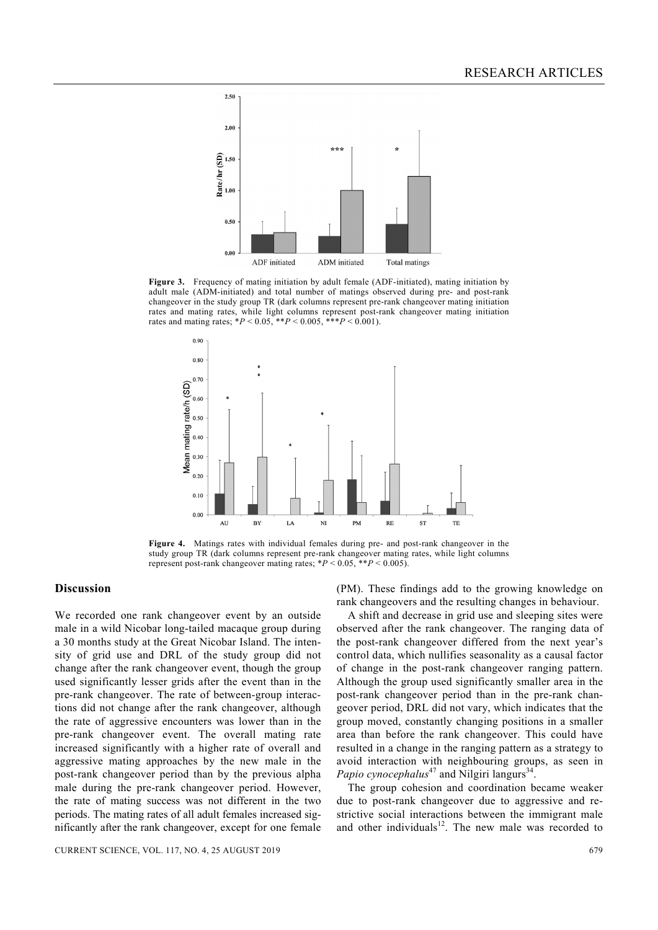

Figure 3. Frequency of mating initiation by adult female (ADF-initiated), mating initiation by adult male (ADM-initiated) and total number of matings observed during pre- and post-rank changeover in the study group TR (dark columns represent pre-rank changeover mating initiation rates and mating rates, while light columns represent post-rank changeover mating initiation rates and mating rates;  $*P < 0.05$ ,  $**P < 0.005$ ,  $***P < 0.001$ ).



**Figure 4.** Matings rates with individual females during pre- and post-rank changeover in the study group TR (dark columns represent pre-rank changeover mating rates, while light columns represent post-rank changeover mating rates; \**P* < 0.05, \*\**P* < 0.005).

# **Discussion**

We recorded one rank changeover event by an outside male in a wild Nicobar long-tailed macaque group during a 30 months study at the Great Nicobar Island. The intensity of grid use and DRL of the study group did not change after the rank changeover event, though the group used significantly lesser grids after the event than in the pre-rank changeover. The rate of between-group interactions did not change after the rank changeover, although the rate of aggressive encounters was lower than in the pre-rank changeover event. The overall mating rate increased significantly with a higher rate of overall and aggressive mating approaches by the new male in the post-rank changeover period than by the previous alpha male during the pre-rank changeover period. However, the rate of mating success was not different in the two periods. The mating rates of all adult females increased significantly after the rank changeover, except for one female (PM). These findings add to the growing knowledge on rank changeovers and the resulting changes in behaviour.

 A shift and decrease in grid use and sleeping sites were observed after the rank changeover. The ranging data of the post-rank changeover differed from the next year's control data, which nullifies seasonality as a causal factor of change in the post-rank changeover ranging pattern. Although the group used significantly smaller area in the post-rank changeover period than in the pre-rank changeover period, DRL did not vary, which indicates that the group moved, constantly changing positions in a smaller area than before the rank changeover. This could have resulted in a change in the ranging pattern as a strategy to avoid interaction with neighbouring groups, as seen in *Papio cynocephalus*<sup>47</sup> and Nilgiri langurs<sup>34</sup>.

 The group cohesion and coordination became weaker due to post-rank changeover due to aggressive and restrictive social interactions between the immigrant male and other individuals $12$ . The new male was recorded to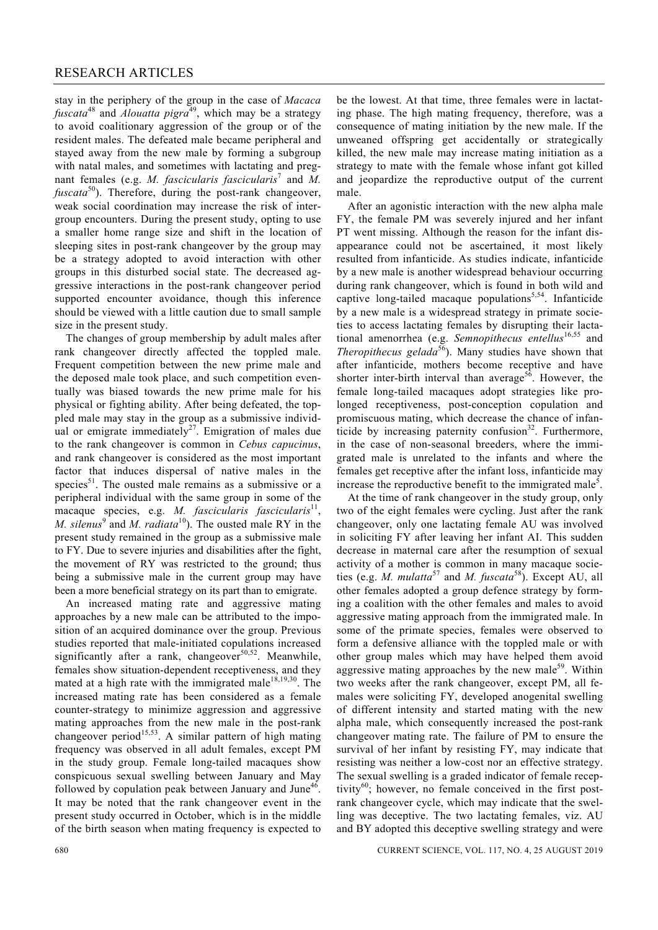stay in the periphery of the group in the case of *Macaca fuscata*48 and *Alouatta pigra*49, which may be a strategy to avoid coalitionary aggression of the group or of the resident males. The defeated male became peripheral and stayed away from the new male by forming a subgroup with natal males, and sometimes with lactating and pregnant females (e.g. *M. fascicularis fascicularis*<sup>7</sup> and *M. fuscata*<sup>50</sup>). Therefore, during the post-rank changeover, weak social coordination may increase the risk of intergroup encounters. During the present study, opting to use a smaller home range size and shift in the location of sleeping sites in post-rank changeover by the group may be a strategy adopted to avoid interaction with other groups in this disturbed social state. The decreased aggressive interactions in the post-rank changeover period supported encounter avoidance, though this inference should be viewed with a little caution due to small sample size in the present study.

 The changes of group membership by adult males after rank changeover directly affected the toppled male. Frequent competition between the new prime male and the deposed male took place, and such competition eventually was biased towards the new prime male for his physical or fighting ability. After being defeated, the toppled male may stay in the group as a submissive individual or emigrate immediately<sup>27</sup>. Emigration of males due to the rank changeover is common in *Cebus capucinus*, and rank changeover is considered as the most important factor that induces dispersal of native males in the species<sup>51</sup>. The ousted male remains as a submissive or a peripheral individual with the same group in some of the macaque species, e.g. M. fascicularis fascicularis<sup>11</sup>, *M. silenus*<sup>9</sup> and *M. radiata*<sup>10</sup>). The ousted male RY in the present study remained in the group as a submissive male to FY. Due to severe injuries and disabilities after the fight, the movement of RY was restricted to the ground; thus being a submissive male in the current group may have been a more beneficial strategy on its part than to emigrate.

 An increased mating rate and aggressive mating approaches by a new male can be attributed to the imposition of an acquired dominance over the group. Previous studies reported that male-initiated copulations increased significantly after a rank, changeover<sup>50,52</sup>. Meanwhile, females show situation-dependent receptiveness, and they mated at a high rate with the immigrated male $18,19,30$ . The increased mating rate has been considered as a female counter-strategy to minimize aggression and aggressive mating approaches from the new male in the post-rank changeover period<sup>15,53</sup>. A similar pattern of high mating frequency was observed in all adult females, except PM in the study group. Female long-tailed macaques show conspicuous sexual swelling between January and May followed by copulation peak between January and June<sup>46</sup>. It may be noted that the rank changeover event in the present study occurred in October, which is in the middle of the birth season when mating frequency is expected to be the lowest. At that time, three females were in lactating phase. The high mating frequency, therefore, was a consequence of mating initiation by the new male. If the unweaned offspring get accidentally or strategically killed, the new male may increase mating initiation as a strategy to mate with the female whose infant got killed and jeopardize the reproductive output of the current male.

 After an agonistic interaction with the new alpha male FY, the female PM was severely injured and her infant PT went missing. Although the reason for the infant disappearance could not be ascertained, it most likely resulted from infanticide. As studies indicate, infanticide by a new male is another widespread behaviour occurring during rank changeover, which is found in both wild and captive long-tailed macaque populations<sup>5,54</sup>. Infanticide by a new male is a widespread strategy in primate societies to access lactating females by disrupting their lactational amenorrhea (e.g. *Semnopithecus entellus*<sup>16,55</sup> and *Theropithecus gelada*<sup>56</sup>). Many studies have shown that after infanticide, mothers become receptive and have shorter inter-birth interval than average<sup>56</sup>. However, the female long-tailed macaques adopt strategies like prolonged receptiveness, post-conception copulation and promiscuous mating, which decrease the chance of infanticide by increasing paternity confusion<sup>32</sup>. Furthermore, in the case of non-seasonal breeders, where the immigrated male is unrelated to the infants and where the females get receptive after the infant loss, infanticide may increase the reproductive benefit to the immigrated male<sup>5</sup>.

 At the time of rank changeover in the study group, only two of the eight females were cycling. Just after the rank changeover, only one lactating female AU was involved in soliciting FY after leaving her infant AI. This sudden decrease in maternal care after the resumption of sexual activity of a mother is common in many macaque societies (e.g. *M. mulatta*57 and *M. fuscata*58). Except AU, all other females adopted a group defence strategy by forming a coalition with the other females and males to avoid aggressive mating approach from the immigrated male. In some of the primate species, females were observed to form a defensive alliance with the toppled male or with other group males which may have helped them avoid aggressive mating approaches by the new male<sup>59</sup>. Within two weeks after the rank changeover, except PM, all females were soliciting FY, developed anogenital swelling of different intensity and started mating with the new alpha male, which consequently increased the post-rank changeover mating rate. The failure of PM to ensure the survival of her infant by resisting FY, may indicate that resisting was neither a low-cost nor an effective strategy. The sexual swelling is a graded indicator of female receptivity $^{60}$ ; however, no female conceived in the first postrank changeover cycle, which may indicate that the swelling was deceptive. The two lactating females, viz. AU and BY adopted this deceptive swelling strategy and were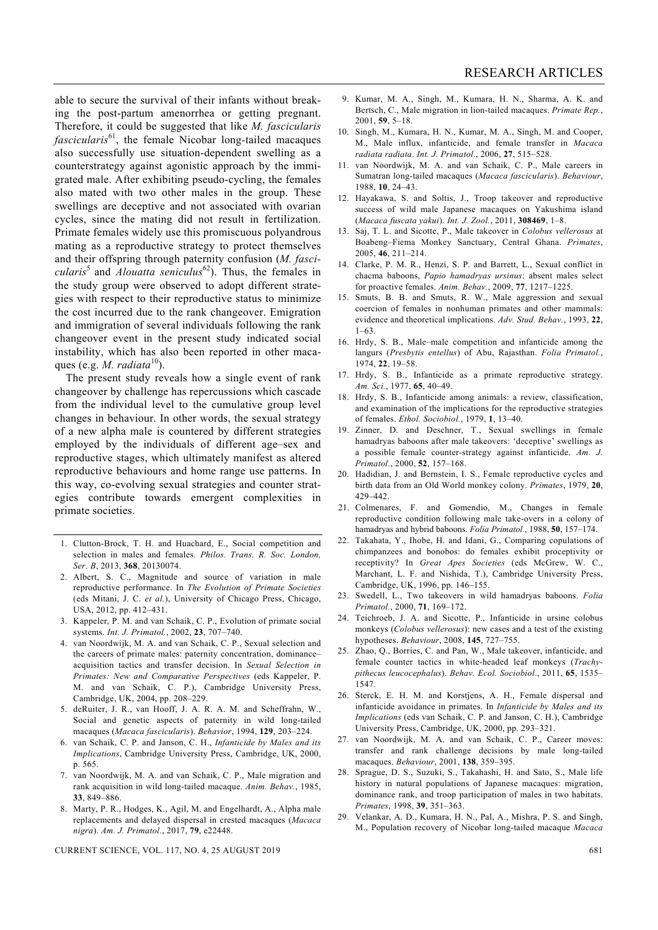able to secure the survival of their infants without breaking the post-partum amenorrhea or getting pregnant. Therefore, it could be suggested that like *M. fascicularis fascicularis*<sup>61</sup>, the female Nicobar long-tailed macaques also successfully use situation-dependent swelling as a counterstrategy against agonistic approach by the immigrated male. After exhibiting pseudo-cycling, the females also mated with two other males in the group. These swellings are deceptive and not associated with ovarian cycles, since the mating did not result in fertilization. Primate females widely use this promiscuous polyandrous mating as a reproductive strategy to protect themselves and their offspring through paternity confusion (*M. fascicularis*5 and *Alouatta seniculus*62). Thus, the females in the study group were observed to adopt different strategies with respect to their reproductive status to minimize the cost incurred due to the rank changeover. Emigration and immigration of several individuals following the rank changeover event in the present study indicated social instability, which has also been reported in other macaques (e.g. *M. radiata*<sup>10</sup>).

 The present study reveals how a single event of rank changeover by challenge has repercussions which cascade from the individual level to the cumulative group level changes in behaviour. In other words, the sexual strategy of a new alpha male is countered by different strategies employed by the individuals of different age–sex and reproductive stages, which ultimately manifest as altered reproductive behaviours and home range use patterns. In this way, co-evolving sexual strategies and counter strategies contribute towards emergent complexities in primate societies.

- 1. Clutton-Brock, T. H. and Huachard, E., Social competition and selection in males and females. *Philos. Trans. R. Soc. London, Ser*. *B*, 2013, **368**, 20130074.
- 2. Albert, S. C., Magnitude and source of variation in male reproductive performance. In *The Evolution of Primate Societies*  (eds Mitani, J. C. *et al.*), University of Chicago Press, Chicago, USA, 2012, pp. 412–431.
- 3. Kappeler, P. M. and van Schaik, C. P., Evolution of primate social systems. *Int. J. Primatol.*, 2002, **23**, 707–740.
- 4. van Noordwijk, M. A. and van Schaik, C. P., Sexual selection and the careers of primate males: paternity concentration, dominance– acquisition tactics and transfer decision. In *Sexual Selection in Primates: New and Comparative Perspectives* (eds Kappeler, P. M. and van Schaik, C. P.), Cambridge University Press, Cambridge, UK, 2004, pp. 208–229.
- 5. deRuiter, J. R., van Hooff, J. A. R. A. M. and Scheffrahn, W., Social and genetic aspects of paternity in wild long-tailed macaques (*Macaca fascicularis*). *Behavior*, 1994, **129**, 203–224.
- 6. van Schaik, C. P. and Janson, C. H., *Infanticide by Males and its Implications*, Cambridge University Press, Cambridge, UK, 2000, p. 565.
- 7. van Noordwijk, M. A. and van Schaik, C. P., Male migration and rank acquisition in wild long-tailed macaque. *Anim. Behav.*, 1985, **33**, 849–886.
- 8. Marty, P. R., Hodges, K., Agil, M. and Engelhardt, A., Alpha male replacements and delayed dispersal in crested macaques (*Macaca nigra*). *Am. J. Primatol.*, 2017, **79**, e22448.

CURRENT SCIENCE, VOL. 117, NO. 4, 25 AUGUST 2019 681

- 9. Kumar, M. A., Singh, M., Kumara, H. N., Sharma, A. K. and Bertsch, C., Male migration in lion-tailed macaques. *Primate Rep.*, 2001, **59**, 5–18.
- 10. Singh, M., Kumara, H. N., Kumar, M. A., Singh, M. and Cooper, M., Male influx, infanticide, and female transfer in *Macaca radiata radiata*. *Int. J. Primatol.*, 2006, **27**, 515–528.
- 11. van Noordwijk, M. A. and van Schaik, C. P., Male careers in Sumatran long-tailed macaques (*Macaca fascicularis*). *Behaviour*, 1988, **10**, 24–43.
- 12. Hayakawa, S. and Soltis, J., Troop takeover and reproductive success of wild male Japanese macaques on Yakushima island (*Macaca fuscata yakui*). *Int. J. Zool.*, 2011, **308469**, 1–8.
- 13. Saj, T. L. and Sicotte, P., Male takeover in *Colobus vellerosus* at Boabeng–Fiema Monkey Sanctuary, Central Ghana. *Primates*, 2005, **46**, 211–214.
- 14. Clarke, P. M. R., Henzi, S. P. and Barrett, L., Sexual conflict in chacma baboons, *Papio hamadryas ursinus*: absent males select for proactive females. *Anim. Behav.*, 2009, **77**, 1217–1225.
- 15. Smuts, B. B. and Smuts, R. W., Male aggression and sexual coercion of females in nonhuman primates and other mammals: evidence and theoretical implications. *Adv. Stud. Behav.*, 1993, **22**, 1–63.
- 16. Hrdy, S. B., Male–male competition and infanticide among the langurs (*Presbytis entellus*) of Abu, Rajasthan. *Folia Primatol.*, 1974, **22**, 19–58.
- 17. Hrdy, S. B., Infanticide as a primate reproductive strategy. *Am. Sci.*, 1977, **65**, 40–49.
- 18. Hrdy, S. B., Infanticide among animals: a review, classification, and examination of the implications for the reproductive strategies of females. *Ethol. Sociobiol.*, 1979, **1**, 13–40.
- 19. Zinner, D. and Deschner, T., Sexual swellings in female hamadryas baboons after male takeovers: 'deceptive' swellings as a possible female counter-strategy against infanticide. *Am. J. Primatol*., 2000, **52**, 157–168.
- 20. Hadidian, J. and Bernstein, I. S., Female reproductive cycles and birth data from an Old World monkey colony. *Primates*, 1979, **20**, 429–442.
- 21. Colmenares, F. and Gomendio, M., Changes in female reproductive condition following male take-overs in a colony of hamadryas and hybrid baboons. *Folia Primatol.*, 1988, **50**, 157–174.
- 22. Takahata, Y., Ihobe, H. and Idani, G., Comparing copulations of chimpanzees and bonobos: do females exhibit proceptivity or receptivity? In *Great Apes Societies* (eds McGrew, W. C., Marchant, L. F. and Nishida, T.), Cambridge University Press, Cambridge, UK, 1996, pp. 146–155.
- 23. Swedell, L., Two takeovers in wild hamadryas baboons. *Folia Primatol.*, 2000, **71**, 169–172.
- 24. Teichroeb, J. A. and Sicotte, P., Infanticide in ursine colobus monkeys (*Colobus vellerosus*): new cases and a test of the existing hypotheses. *Behaviour*, 2008, **145**, 727–755.
- 25. Zhao, Q., Borries, C. and Pan, W., Male takeover, infanticide, and female counter tactics in white-headed leaf monkeys (*Trachypithecus leucocephalus*). *Behav. Ecol. Sociobiol*., 2011, **65**, 1535– 1547.
- 26. Sterck, E. H. M. and Korstjens, A. H., Female dispersal and infanticide avoidance in primates. In *Infanticide by Males and its Implications* (eds van Schaik, C. P. and Janson, C. H.), Cambridge University Press, Cambridge, UK, 2000, pp. 293–321.
- 27. van Noordwijk, M. A. and van Schaik, C. P., Career moves: transfer and rank challenge decisions by male long-tailed macaques. *Behaviour*, 2001, **138**, 359–395.
- 28. Sprague, D. S., Suzuki, S., Takahashi, H. and Sato, S., Male life history in natural populations of Japanese macaques: migration, dominance rank, and troop participation of males in two habitats. *Primates*, 1998, **39**, 351–363.
- 29. Velankar, A. D., Kumara, H. N., Pal, A., Mishra, P. S. and Singh, M., Population recovery of Nicobar long-tailed macaque *Macaca*